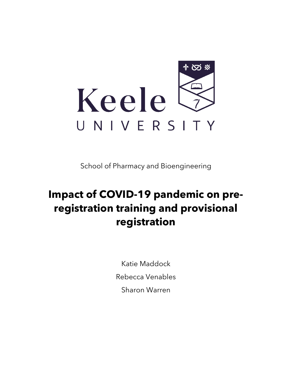

School of Pharmacy and Bioengineering

# **Impact of COVID-19 pandemic on preregistration training and provisional registration**

Katie Maddock

Rebecca Venables

Sharon Warren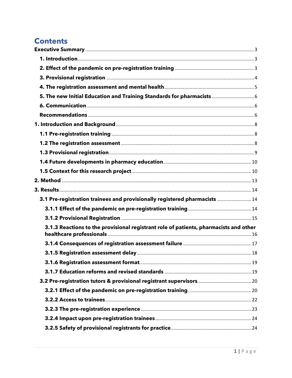# **Contents**

| 5. The new Initial Education and Training Standards for pharmacists  6                |  |
|---------------------------------------------------------------------------------------|--|
|                                                                                       |  |
|                                                                                       |  |
|                                                                                       |  |
|                                                                                       |  |
|                                                                                       |  |
|                                                                                       |  |
|                                                                                       |  |
|                                                                                       |  |
|                                                                                       |  |
|                                                                                       |  |
| 3.1 Pre-registration trainees and provisionally registered pharmacists  14            |  |
|                                                                                       |  |
|                                                                                       |  |
| 3.1.3 Reactions to the provisional registrant role of patients, pharmacists and other |  |
|                                                                                       |  |
|                                                                                       |  |
|                                                                                       |  |
|                                                                                       |  |
|                                                                                       |  |
|                                                                                       |  |
|                                                                                       |  |
|                                                                                       |  |
|                                                                                       |  |
|                                                                                       |  |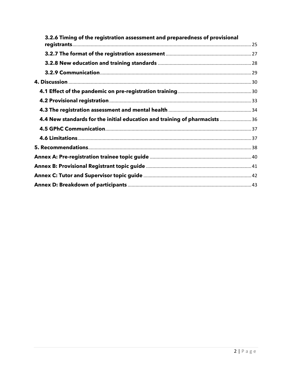| 3.2.6 Timing of the registration assessment and preparedness of provisional |  |
|-----------------------------------------------------------------------------|--|
|                                                                             |  |
|                                                                             |  |
|                                                                             |  |
|                                                                             |  |
|                                                                             |  |
|                                                                             |  |
|                                                                             |  |
|                                                                             |  |
| 4.4 New standards for the initial education and training of pharmacists  36 |  |
|                                                                             |  |
|                                                                             |  |
|                                                                             |  |
|                                                                             |  |
|                                                                             |  |
|                                                                             |  |
|                                                                             |  |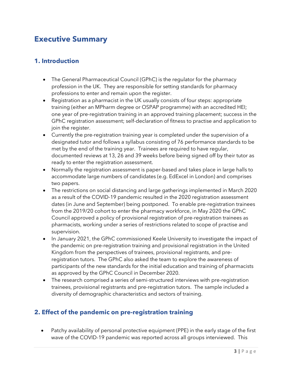# <span id="page-4-0"></span>**Executive Summary**

#### <span id="page-4-1"></span>**1. Introduction**

- The General Pharmaceutical Council (GPhC) is the regulator for the pharmacy profession in the UK. They are responsible for setting standards for pharmacy professions to enter and remain upon the register.
- Registration as a pharmacist in the UK usually consists of four steps: appropriate training (either an MPharm degree or OSPAP programme) with an accredited HEI; one year of pre-registration training in an approved training placement; success in the GPhC registration assessment; self-declaration of fitness to practise and application to join the register.
- Currently the pre-registration training year is completed under the supervision of a designated tutor and follows a syllabus consisting of 76 performance standards to be met by the end of the training year. Trainees are required to have regular, documented reviews at 13, 26 and 39 weeks before being signed off by their tutor as ready to enter the registration assessment.
- Normally the registration assessment is paper-based and takes place in large halls to accommodate large numbers of candidates (e.g. EdExcel in London) and comprises two papers.
- The restrictions on social distancing and large gatherings implemented in March 2020 as a result of the COVID-19 pandemic resulted in the 2020 registration assessment dates (in June and September) being postponed. To enable pre-registration trainees from the 2019/20 cohort to enter the pharmacy workforce, in May 2020 the GPhC Council approved a policy of provisional registration of pre-registration trainees as pharmacists, working under a series of restrictions related to scope of practise and supervision.
- In January 2021, the GPhC commissioned Keele University to investigate the impact of the pandemic on pre-registration training and provisional registration in the United Kingdom from the perspectives of trainees, provisional registrants, and preregistration tutors. The GPhC also asked the team to explore the awareness of participants of the new standards for the initial education and training of pharmacists as approved by the GPhC Council in December 2020.
- The research comprised a series of semi-structured interviews with pre-registration trainees, provisional registrants and pre-registration tutors. The sample included a diversity of demographic characteristics and sectors of training.

## <span id="page-4-2"></span>**2. Effect of the pandemic on pre-registration training**

• Patchy availability of personal protective equipment (PPE) in the early stage of the first wave of the COVID-19 pandemic was reported across all groups interviewed. This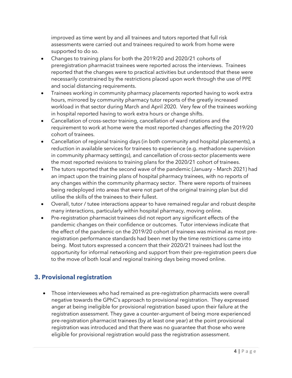improved as time went by and all trainees and tutors reported that full risk assessments were carried out and trainees required to work from home were supported to do so.

- Changes to training plans for both the 2019/20 and 2020/21 cohorts of preregistration pharmacist trainees were reported across the interviews. Trainees reported that the changes were to practical activities but understood that these were necessarily constrained by the restrictions placed upon work through the use of PPE and social distancing requirements.
- Trainees working in community pharmacy placements reported having to work extra hours, mirrored by community pharmacy tutor reports of the greatly increased workload in that sector during March and April 2020. Very few of the trainees working in hospital reported having to work extra hours or change shifts.
- Cancellation of cross-sector training, cancellation of ward rotations and the requirement to work at home were the most reported changes affecting the 2019/20 cohort of trainees.
- Cancellation of regional training days (in both community and hospital placements), a reduction in available services for trainees to experience (e.g. methadone supervision in community pharmacy settings), and cancellation of cross-sector placements were the most reported revisions to training plans for the 2020/21 cohort of trainees.
- The tutors reported that the second wave of the pandemic (January March 2021) had an impact upon the training plans of hospital pharmacy trainees, with no reports of any changes within the community pharmacy sector. There were reports of trainees being redeployed into areas that were not part of the original training plan but did utilise the skills of the trainees to their fullest.
- Overall, tutor / tutee interactions appear to have remained regular and robust despite many interactions, particularly within hospital pharmacy, moving online.
- Pre-registration pharmacist trainees did not report any significant effects of the pandemic changes on their confidence or outcomes. Tutor interviews indicate that the effect of the pandemic on the 2019/20 cohort of trainees was minimal as most preregistration performance standards had been met by the time restrictions came into being. Most tutors expressed a concern that their 2020/21 trainees had lost the opportunity for informal networking and support from their pre-registration peers due to the move of both local and regional training days being moved online.

# <span id="page-5-0"></span>**3. Provisional registration**

• Those interviewees who had remained as pre-registration pharmacists were overall negative towards the GPhC's approach to provisional registration. They expressed anger at being ineligible for provisional registration based upon their failure at the registration assessment. They gave a counter-argument of being more experienced pre-registration pharmacist trainees (by at least one year) at the point provisional registration was introduced and that there was no guarantee that those who were eligible for provisional registration would pass the registration assessment.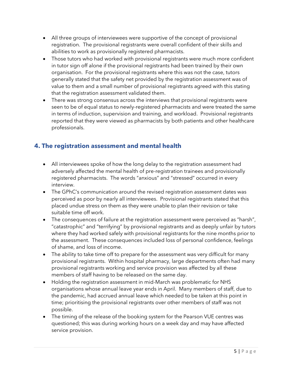- All three groups of interviewees were supportive of the concept of provisional registration. The provisional registrants were overall confident of their skills and abilities to work as provisionally registered pharmacists.
- Those tutors who had worked with provisional registrants were much more confident in tutor sign off alone if the provisional registrants had been trained by their own organisation. For the provisional registrants where this was not the case, tutors generally stated that the safety net provided by the registration assessment was of value to them and a small number of provisional registrants agreed with this stating that the registration assessment validated them.
- There was strong consensus across the interviews that provisional registrants were seen to be of equal status to newly-registered pharmacists and were treated the same in terms of induction, supervision and training, and workload. Provisional registrants reported that they were viewed as pharmacists by both patients and other healthcare professionals.

# <span id="page-6-0"></span>**4. The registration assessment and mental health**

- All interviewees spoke of how the long delay to the registration assessment had adversely affected the mental health of pre-registration trainees and provisionally registered pharmacists. The words "anxious" and "stressed" occurred in every interview.
- The GPhC's communication around the revised registration assessment dates was perceived as poor by nearly all interviewees. Provisional registrants stated that this placed undue stress on them as they were unable to plan their revision or take suitable time off work.
- The consequences of failure at the registration assessment were perceived as "harsh", "catastrophic" and "terrifying" by provisional registrants and as deeply unfair by tutors where they had worked safely with provisional registrants for the nine months prior to the assessment. These consequences included loss of personal confidence, feelings of shame, and loss of income.
- The ability to take time off to prepare for the assessment was very difficult for many provisional registrants. Within hospital pharmacy, large departments often had many provisional registrants working and service provision was affected by all these members of staff having to be released on the same day.
- Holding the registration assessment in mid-March was problematic for NHS organisations whose annual leave year ends in April. Many members of staff, due to the pandemic, had accrued annual leave which needed to be taken at this point in time; prioritising the provisional registrants over other members of staff was not possible.
- The timing of the release of the booking system for the Pearson VUE centres was questioned; this was during working hours on a week day and may have affected service provision.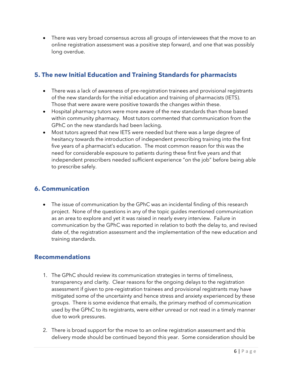• There was very broad consensus across all groups of interviewees that the move to an online registration assessment was a positive step forward, and one that was possibly long overdue.

## <span id="page-7-0"></span>**5. The new Initial Education and Training Standards for pharmacists**

- There was a lack of awareness of pre-registration trainees and provisional registrants of the new standards for the initial education and training of pharmacists (IETS). Those that were aware were positive towards the changes within these.
- Hospital pharmacy tutors were more aware of the new standards than those based within community pharmacy. Most tutors commented that communication from the GPhC on the new standards had been lacking.
- Most tutors agreed that new IETS were needed but there was a large degree of hesitancy towards the introduction of independent prescribing training into the first five years of a pharmacist's education. The most common reason for this was the need for considerable exposure to patients during these first five years and that independent prescribers needed sufficient experience "on the job" before being able to prescribe safely.

## <span id="page-7-1"></span>**6. Communication**

• The issue of communication by the GPhC was an incidental finding of this research project. None of the questions in any of the topic guides mentioned communication as an area to explore and yet it was raised in nearly every interview. Failure in communication by the GPhC was reported in relation to both the delay to, and revised date of, the registration assessment and the implementation of the new education and training standards.

#### <span id="page-7-2"></span>**Recommendations**

- 1. The GPhC should review its communication strategies in terms of timeliness, transparency and clarity. Clear reasons for the ongoing delays to the registration assessment if given to pre-registration trainees and provisional registrants may have mitigated some of the uncertainty and hence stress and anxiety experienced by these groups. There is some evidence that emails, the primary method of communication used by the GPhC to its registrants, were either unread or not read in a timely manner due to work pressures.
- 2. There is broad support for the move to an online registration assessment and this delivery mode should be continued beyond this year. Some consideration should be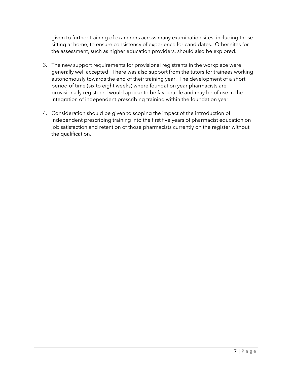given to further training of examiners across many examination sites, including those sitting at home, to ensure consistency of experience for candidates. Other sites for the assessment, such as higher education providers, should also be explored.

- 3. The new support requirements for provisional registrants in the workplace were generally well accepted. There was also support from the tutors for trainees working autonomously towards the end of their training year. The development of a short period of time (six to eight weeks) where foundation year pharmacists are provisionally registered would appear to be favourable and may be of use in the integration of independent prescribing training within the foundation year.
- 4. Consideration should be given to scoping the impact of the introduction of independent prescribing training into the first five years of pharmacist education on job satisfaction and retention of those pharmacists currently on the register without the qualification.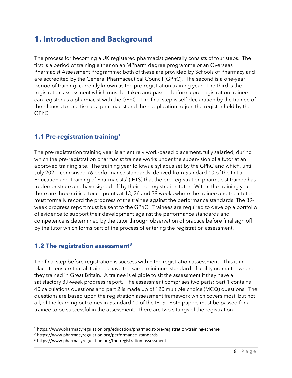# <span id="page-9-0"></span>**1. Introduction and Background**

The process for becoming a UK registered pharmacist generally consists of four steps. The first is a period of training either on an MPharm degree programme or an Overseas Pharmacist Assessment Programme; both of these are provided by Schools of Pharmacy and are accredited by the General Pharmaceutical Council (GPhC). The second is a one-year period of training, currently known as the pre-registration training year. The third is the registration assessment which must be taken and passed before a pre-registration trainee can register as a pharmacist with the GPhC. The final step is self-declaration by the trainee of their fitness to practise as a pharmacist and their application to join the register held by the GPhC.

## <span id="page-9-1"></span>**1.1 Pre-registration training<sup>1</sup>**

The pre-registration training year is an entirely work-based placement, fully salaried, during which the pre-registration pharmacist trainee works under the supervision of a tutor at an approved training site. The training year follows a syllabus set by the GPhC and which, until July 2021, comprised 76 performance standards, derived from Standard 10 of the Initial Education and Training of Pharmacists<sup>2</sup> (IETS) that the pre-registration pharmacist trainee has to demonstrate and have signed off by their pre-registration tutor. Within the training year there are three critical touch points at 13, 26 and 39 weeks where the trainee and their tutor must formally record the progress of the trainee against the performance standards. The 39 week progress report must be sent to the GPhC. Trainees are required to develop a portfolio of evidence to support their development against the performance standards and competence is determined by the tutor through observation of practice before final sign off by the tutor which forms part of the process of entering the registration assessment.

# <span id="page-9-2"></span>**1.2 The registration assessment<sup>3</sup>**

The final step before registration is success within the registration assessment. This is in place to ensure that all trainees have the same minimum standard of ability no matter where they trained in Great Britain. A trainee is eligible to sit the assessment if they have a satisfactory 39-week progress report. The assessment comprises two parts; part 1 contains 40 calculations questions and part 2 is made up of 120 multiple choice (MCQ) questions. The questions are based upon the registration assessment framework which covers most, but not all, of the learning outcomes in Standard 10 of the IETS. Both papers must be passed for a trainee to be successful in the assessment. There are two sittings of the registration

<sup>1</sup> https://www.pharmacyregulation.org/education/pharmacist-pre-registration-training-scheme

<sup>2</sup> https://www.pharmacyregulation.org/performance-standards

<sup>3</sup> https://www.pharmacyregulation.org/the-registration-assessment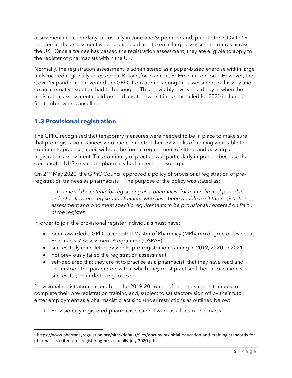assessment in a calendar year, usually in June and September and, prior to the COVID-19 pandemic, the assessment was paper-based and taken in large assessment centres across the UK. Once a trainee has passed the registration assessment, they are eligible to apply to the register of pharmacists within the UK.

Normally, the registration assessment is administered as a paper-based exercise within large halls located regionally across Great Britain (for example, EdExcel in London). However, the Covid19 pandemic prevented the GPhC from administering the assessment in this way and so an alternative solution had to be sought. This inevitably involved a delay in when the registration assessment could be held and the two sittings scheduled for 2020 in June and September were cancelled.

# <span id="page-10-0"></span>**1.3 Provisional registration**

The GPhC recognised that temporary measures were needed to be in place to make sure that pre-registration trainees who had completed their 52 weeks of training were able to continue to practise, albeit without the formal requirement of sitting and passing a registration assessment. This continuity of practice was particularly important because the demand for NHS services in pharmacy had never been so high.

On 21<sup>st</sup> May 2020, the GPhC Council approved a policy of provisional registration of preregistration trainees as pharmacists $4$ . The purpose of the policy was stated as:

*... to amend the criteria for registering as a pharmacist for a time-limited period in order to allow pre-registration trainees who have been unable to sit the registration assessment and who meet specific requirements to be provisionally entered on Part 1 of the register.*

In order to join the provisional register individuals must have:

- been awarded a GPhC-accredited Master of Pharmacy (MPharm) degree or Overseas Pharmacists' Assessment Programme (OSPAP)
- successfully completed 52 weeks pre-registration training in 2019, 2020 or 2021
- not previously failed the registration assessment
- self-declared that they are fit to practise as a pharmacist; that they have read and understood the parameters within which they must practise if their application is successful; an undertaking to do so

Provisional registration has enabled the 2019-20 cohort of pre-registration trainees to complete their pre-registration training and, subject to satisfactory sign off by their tutor, enter employment as a pharmacist practising under restrictions as outlined below:

1. Provisionally registered pharmacists cannot work as a locum pharmacist

<sup>4</sup> https://www.pharmacyregulation.org/sites/default/files/document/initial-education-and\_training-standards-forpharmacists-criteria-for-registering-provisionally-july-2020.pdf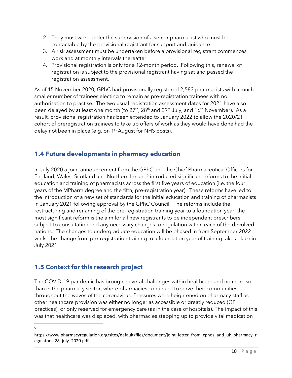- 2. They must work under the supervision of a senior pharmacist who must be contactable by the provisional registrant for support and guidance
- 3. A risk assessment must be undertaken before a provisional registrant commences work and at monthly intervals thereafter
- 4. Provisional registration is only for a 12-month period. Following this, renewal of registration is subject to the provisional registrant having sat and passed the registration assessment.

As of 15 November 2020, GPhC had provisionally registered 2,583 pharmacists with a much smaller number of trainees electing to remain as pre-registration trainees with no authorisation to practise. The two usual registration assessment dates for 2021 have also been delayed by at least one month (to 27<sup>th</sup>, 28<sup>th</sup> and 29<sup>th</sup> July, and 16<sup>th</sup> November). As a result, provisional registration has been extended to January 2022 to allow the 2020/21 cohort of preregistration trainees to take up offers of work as they would have done had the delay not been in place (e.g. on 1<sup>st</sup> August for NHS posts).

# <span id="page-11-0"></span>**1.4 Future developments in pharmacy education**

In July 2020 a joint announcement from the GPhC and the Chief Pharmaceutical Officers for England, Wales, Scotland and Northern Ireland<sup>5</sup> introduced significant reforms to the initial education and training of pharmacists across the first five years of education (i.e. the four years of the MPharm degree and the fifth, pre-registration year). These reforms have led to the introduction of a new set of standards for the initial education and training of pharmacists in January 2021 following approval by the GPhC Council. The reforms include the restructuring and renaming of the pre-registration training year to a foundation year; the most significant reform is the aim for all new registrants to be independent prescribers subject to consultation and any necessary changes to regulation within each of the devolved nations. The changes to undergraduate education will be phased in from September 2022 whilst the change from pre-registration training to a foundation year of training takes place in July 2021.

# <span id="page-11-1"></span>**1.5 Context for this research project**

The COVID-19 pandemic has brought several challenges within healthcare and no more so than in the pharmacy sector, where pharmacies continued to serve their communities throughout the waves of the coronavirus. Pressures were heightened on pharmacy staff as other healthcare provision was either no longer as accessible or greatly reduced (GP practices), or only reserved for emergency care (as in the case of hospitals). The impact of this was that healthcare was displaced, with pharmacies stepping up to provide vital medication

5

https://www.pharmacyregulation.org/sites/default/files/document/joint\_letter\_from\_cphos\_and\_uk\_pharmacy\_r egulators\_28\_july\_2020.pdf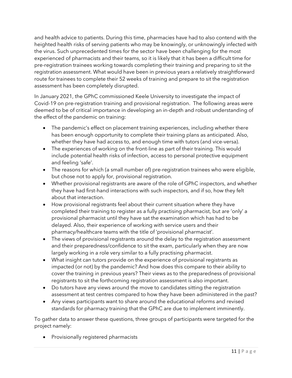and health advice to patients. During this time, pharmacies have had to also contend with the heighted health risks of serving patients who may be knowingly, or unknowingly infected with the virus. Such unprecedented times for the sector have been challenging for the most experienced of pharmacists and their teams, so it is likely that it has been a difficult time for pre-registration trainees working towards completing their training and preparing to sit the registration assessment. What would have been in previous years a relatively straightforward route for trainees to complete their 52 weeks of training and prepare to sit the registration assessment has been completely disrupted.

In January 2021, the GPhC commissioned Keele University to investigate the impact of Covid-19 on pre-registration training and provisional registration. The following areas were deemed to be of critical importance in developing an in-depth and robust understanding of the effect of the pandemic on training:

- The pandemic's effect on placement training experiences, including whether there has been enough opportunity to complete their training plans as anticipated. Also, whether they have had access to, and enough time with tutors (and vice-versa).
- The experiences of working on the front-line as part of their training. This would include potential health risks of infection, access to personal protective equipment and feeling 'safe'.
- The reasons for which (a small number of) pre-registration trainees who were eligible, but chose not to apply for, provisional registration.
- Whether provisional registrants are aware of the role of GPhC inspectors, and whether they have had first-hand interactions with such inspectors, and if so, how they felt about that interaction.
- How provisional registrants feel about their current situation where they have completed their training to register as a fully practising pharmacist, but are 'only' a provisional pharmacist until they have sat the examination which has had to be delayed. Also, their experience of working with service users and their pharmacy/healthcare teams with the title of 'provisional pharmacist'.
- The views of provisional registrants around the delay to the registration assessment and their preparedness/confidence to sit the exam, particularly when they are now largely working in a role very similar to a fully practising pharmacist.
- What insight can tutors provide on the experience of provisional registrants as impacted (or not) by the pandemic? And how does this compare to their ability to cover the training in previous years? Their views as to the preparedness of provisional registrants to sit the forthcoming registration assessment is also important.
- Do tutors have any views around the move to candidates sitting the registration assessment at test centres compared to how they have been administered in the past?
- Any views participants want to share around the educational reforms and revised standards for pharmacy training that the GPhC are due to implement imminently.

To gather data to answer these questions, three groups of participants were targeted for the project namely:

• Provisionally registered pharmacists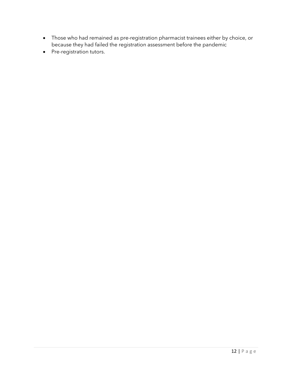- Those who had remained as pre-registration pharmacist trainees either by choice, or because they had failed the registration assessment before the pandemic
- Pre-registration tutors.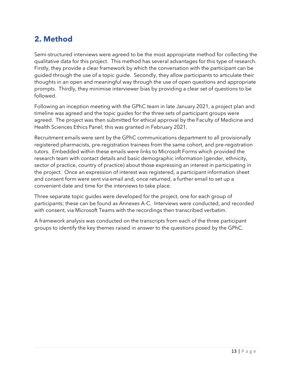# <span id="page-14-0"></span>**2. Method**

Semi-structured interviews were agreed to be the most appropriate method for collecting the qualitative data for this project. This method has several advantages for this type of research. Firstly, they provide a clear framework by which the conversation with the participant can be guided through the use of a topic guide. Secondly, they allow participants to articulate their thoughts in an open and meaningful way through the use of open questions and appropriate prompts. Thirdly, they minimise interviewer bias by providing a clear set of questions to be followed.

Following an inception meeting with the GPhC team in late January 2021, a project plan and timeline was agreed and the topic guides for the three sets of participant groups were agreed. The project was then submitted for ethical approval by the Faculty of Medicine and Health Sciences Ethics Panel; this was granted in February 2021.

Recruitment emails were sent by the GPhC communications department to all provisionally registered pharmacists, pre-registration trainees from the same cohort, and pre-registration tutors. Embedded within these emails were links to Microsoft Forms which provided the research team with contact details and basic demographic information (gender, ethnicity, sector of practice, country of practice) about those expressing an interest in participating in the project. Once an expression of interest was registered, a participant information sheet and consent form were sent via email and, once returned, a further email to set up a convenient date and time for the interviews to take place.

Three separate topic guides were developed for the project, one for each group of participants; these can be found as Annexes A-C. Interviews were conducted, and recorded with consent, via Microsoft Teams with the recordings then transcribed verbatim.

A framework analysis was conducted on the transcripts from each of the three participant groups to identify the key themes raised in answer to the questions posed by the GPhC.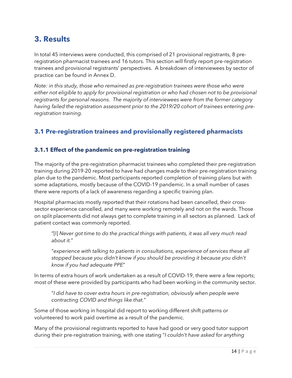# <span id="page-15-0"></span>**3. Results**

In total 45 interviews were conducted, this comprised of 21 provisional registrants, 8 preregistration pharmacist trainees and 16 tutors. This section will firstly report pre-registration trainees and provisional registrants' perspectives. A breakdown of interviewees by sector of practice can be found in Annex D.

*Note: in this study, those who remained as pre-registration trainees were those who were either not eligible to apply for provisional registration or who had chosen not to be provisional registrants for personal reasons. The majority of interviewees were from the former category having failed the registration assessment prior to the 2019/20 cohort of trainees entering preregistration training.*

# <span id="page-15-1"></span>**3.1 Pre-registration trainees and provisionally registered pharmacists**

#### <span id="page-15-2"></span>**3.1.1 Effect of the pandemic on pre-registration training**

The majority of the pre-registration pharmacist trainees who completed their pre-registration training during 2019-20 reported to have had changes made to their pre-registration training plan due to the pandemic. Most participants reported completion of training plans but with some adaptations, mostly because of the COVID-19 pandemic. In a small number of cases there were reports of a lack of awareness regarding a specific training plan.

Hospital pharmacists mostly reported that their rotations had been cancelled, their crosssector experience cancelled, and many were working remotely and not on the wards. Those on split placements did not always get to complete training in all sectors as planned. Lack of patient contact was commonly reported.

"[I] *Never got time to do the practical things with patients, it was all very much read about it.*"

"*experience with talking to patients in consultations, experience of services these all stopped because you didn't know if you should be providing it because you didn't know if you had adequate PPE*"

In terms of extra hours of work undertaken as a result of COVID-19, there were a few reports; most of these were provided by participants who had been working in the community sector.

"*I did have to cover extra hours in pre-registration, obviously when people were contracting COVID and things like that.*"

Some of those working in hospital did report to working different shift patterns or volunteered to work paid overtime as a result of the pandemic.

Many of the provisional registrants reported to have had good or very good tutor support during their pre-registration training, with one stating "*I couldn't have asked for anything*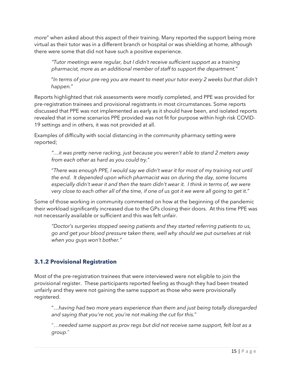*more*" when asked about this aspect of their training. Many reported the support being more virtual as their tutor was in a different branch or hospital or was shielding at home, although there were some that did not have such a positive experience.

*"Tutor meetings were regular, but I didn't receive sufficient support as a training pharmacist, more as an additional member of staff to support the department.*"

"*In terms of your pre-reg you are meant to meet your tutor every 2 weeks but that didn't happen.*"

Reports highlighted that risk assessments were mostly completed, and PPE was provided for pre-registration trainees and provisional registrants in most circumstances. Some reports discussed that PPE was not implemented as early as it should have been, and isolated reports revealed that in some scenarios PPE provided was not fit for purpose within high risk COVID-19 settings and in others, it was not provided at all.

Examples of difficulty with social distancing in the community pharmacy setting were reported;

*"…it was pretty nerve racking, just because you weren't able to stand 2 meters away from each other as hard as you could try.*"

"*There was enough PPE, I would say we didn't wear it for most of my training not until the end. It depended upon which pharmacist was on during the day, some locums especially didn't wear it and then the team didn't wear it. I think in terms of, we were very close to each other all of the time, if one of us got it we were all going to get it.*"

Some of those working in community commented on how at the beginning of the pandemic their workload significantly increased due to the GPs closing their doors. At this time PPE was not necessarily available or sufficient and this was felt unfair.

*"Doctor's surgeries stopped seeing patients and they started referring patients to us, go and get your blood pressure taken there, well why should we put ourselves at risk when you guys won't bother."*

## <span id="page-16-0"></span>**3.1.2 Provisional Registration**

Most of the pre-registration trainees that were interviewed were not eligible to join the provisional register. These participants reported feeling as though they had been treated unfairly and they were not gaining the same support as those who were provisionally registered.

"…*having had two more years experience than them and just being totally disregarded and saying that you're not, you're not making the cut for this.*"

"…*needed same support as prov regs but did not receive same support, felt lost as a group.*"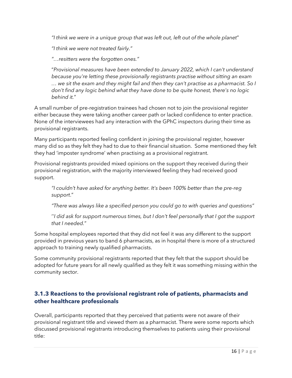*"I think we were in a unique group that was left out, left out of the whole planet*"

*"I think we were not treated fairly."*

*"…resitters were the forgotten ones."*

"*Provisional measures have been extended to January 2022, which I can't understand because you're letting these provisionally registrants practise without sitting an exam … we sit the exam and they might fail and then they can't practise as a pharmacist. So I don't find any logic behind what they have done to be quite honest, there's no logic behind it.*"

A small number of pre-registration trainees had chosen not to join the provisional register either because they were taking another career path or lacked confidence to enter practice. None of the interviewees had any interaction with the GPhC inspectors during their time as provisional registrants.

Many participants reported feeling confident in joining the provisional register, however many did so as they felt they had to due to their financial situation. Some mentioned they felt they had 'imposter syndrome' when practising as a provisional registrant.

Provisional registrants provided mixed opinions on the support they received during their provisional registration, with the majority interviewed feeling they had received good support.

*"I couldn't have asked for anything better. It's been 100% better than the pre-reg support*."

*"There was always like a specified person you could go to with queries and questions"*

''*I did ask for support numerous times, but I don't feel personally that I got the support that I needed.*"

Some hospital employees reported that they did not feel it was any different to the support provided in previous years to band 6 pharmacists, as in hospital there is more of a structured approach to training newly qualified pharmacists.

Some community provisional registrants reported that they felt that the support should be adopted for future years for all newly qualified as they felt it was something missing within the community sector.

#### <span id="page-17-0"></span>**3.1.3 Reactions to the provisional registrant role of patients, pharmacists and other healthcare professionals**

Overall, participants reported that they perceived that patients were not aware of their provisional registrant title and viewed them as a pharmacist. There were some reports which discussed provisional registrants introducing themselves to patients using their provisional title: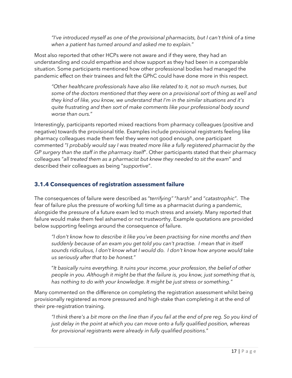*"I've introduced myself as one of the provisional pharmacists, but I can't think of a time when a patient has turned around and asked me to explain.*"

Most also reported that other HCPs were not aware and if they were, they had an understanding and could empathise and show support as they had been in a comparable situation. Some participants mentioned how other professional bodies had managed the pandemic effect on their trainees and felt the GPhC could have done more in this respect.

*"Other healthcare professionals have also like related to it, not so much nurses, but some of the doctors mentioned that they were on a provisional sort of thing as well and they kind of like, you know, we understand that I'm in the similar situations and it's quite frustrating and then sort of make comments like your professional body sound worse than ours.*"

Interestingly, participants reported mixed reactions from pharmacy colleagues (positive and negative) towards the provisional title. Examples include provisional registrants feeling like pharmacy colleagues made them feel they were not good enough, one participant commented "*I probably would say I was treated more like a fully registered pharmacist by the GP surgery than the staff in the pharmacy itself*". Other participants stated that their pharmacy colleagues "*all treated them as a pharmacist but knew they needed to sit the exam*" and described their colleagues as being "*supportive*".

#### <span id="page-18-0"></span>**3.1.4 Consequences of registration assessment failure**

The consequences of failure were described as "*terrifying"* "*harsh"* and "*catastrophic"*. The fear of failure plus the pressure of working full time as a pharmacist during a pandemic, alongside the pressure of a future exam led to much stress and anxiety. Many reported that failure would make them feel ashamed or not trustworthy. Example quotations are provided below supporting feelings around the consequence of failure.

*"I don't know how to describe it like you've been practising for nine months and then suddenly because of an exam you get told you can't practise. I mean that in itself sounds ridiculous, I don't know what I would do. I don't know how anyone would take us seriously after that to be honest.*"

"*It basically ruins everything. It ruins your income, your profession, the belief of other people in you. Although it might be that the failure is, you know, just something that is, has nothing to do with your knowledge. It might be just stress or something.*"

Many commented on the difference on completing the registration assessment whilst being provisionally registered as more pressured and high-stake than completing it at the end of their pre-registration training.

*"I think there's a bit more on the line than if you fail at the end of pre reg. So you kind of just delay in the point at which you can move onto a fully qualified position, whereas for provisional registrants were already in fully qualified positions.*"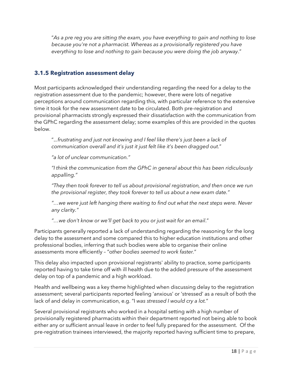"*As a pre reg you are sitting the exam, you have everything to gain and nothing to lose because you're not a pharmacist. Whereas as a provisionally registered you have everything to lose and nothing to gain because you were doing the job anyway*."

#### <span id="page-19-0"></span>**3.1.5 Registration assessment delay**

Most participants acknowledged their understanding regarding the need for a delay to the registration assessment due to the pandemic; however, there were lots of negative perceptions around communication regarding this, with particular reference to the extensive time it took for the new assessment date to be circulated. Both pre-registration and provisional pharmacists strongly expressed their dissatisfaction with the communication from the GPhC regarding the assessment delay; some examples of this are provided in the quotes below.

".*..frustrating and just not knowing and I feel like there's just been a lack of communication overall and it's just it just felt like it's been dragged out.*"

*"a lot of unclear communication."*

*"I think the communication from the GPhC in general about this has been ridiculously appalling."*

*"They then took forever to tell us about provisional registration, and then once we run the provisional register, they took forever to tell us about a new exam date."*

*"…we were just left hanging there waiting to find out what the next steps were. Never any clarity."*

*"…we don't know or we'll get back to you or just wait for an email*."

Participants generally reported a lack of understanding regarding the reasoning for the long delay to the assessment and some compared this to higher education institutions and other professional bodies, inferring that such bodies were able to organise their online assessments more efficiently – "o*ther bodies seemed to work faster.*"

This delay also impacted upon provisional registrants' ability to practice, some participants reported having to take time off with ill health due to the added pressure of the assessment delay on top of a pandemic and a high workload.

Health and wellbeing was a key theme highlighted when discussing delay to the registration assessment; several participants reported feeling 'anxious' or 'stressed' as a result of both the lack of and delay in communication, e.g. "I *was stressed I would cry a lot.*"

Several provisional registrants who worked in a hospital setting with a high number of provisionally registered pharmacists within their department reported not being able to book either any or sufficient annual leave in order to feel fully prepared for the assessment. Of the pre-registration trainees interviewed, the majority reported having sufficient time to prepare,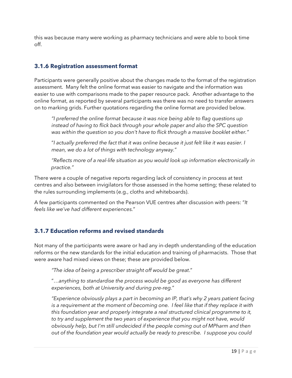this was because many were working as pharmacy technicians and were able to book time off.

#### <span id="page-20-0"></span>**3.1.6 Registration assessment format**

Participants were generally positive about the changes made to the format of the registration assessment. Many felt the online format was easier to navigate and the information was easier to use with comparisons made to the paper resource pack. Another advantage to the online format, as reported by several participants was there was no need to transfer answers on to marking grids. Further quotations regarding the online format are provided below.

*"I preferred the online format because it was nice being able to flag questions up instead of having to flick back through your whole paper and also the SPC question was within the question so you don't have to flick through a massive booklet either."*

"*I actually preferred the fact that it was online because it just felt like it was easier. I mean, we do a lot of things with technology anyway.*"

*"Reflects more of a real-life situation as you would look up information electronically in practice."*

There were a couple of negative reports regarding lack of consistency in process at test centres and also between invigilators for those assessed in the home setting; these related to the rules surrounding implements (e.g., cloths and whiteboards).

A few participants commented on the Pearson VUE centres after discussion with peers: "*It feels like we've had different experiences.*"

#### <span id="page-20-1"></span>**3.1.7 Education reforms and revised standards**

Not many of the participants were aware or had any in-depth understanding of the education reforms or the new standards for the initial education and training of pharmacists. Those that were aware had mixed views on these; these are provided below.

*"The idea of being a prescriber straight off would be great*."

"…*anything to standardise the process would be good as everyone has different experiences, both at University and during pre-reg.*"

*"Experience obviously plays a part in becoming an IP, that's why 2 years patient facing is a requirement at the moment of becoming one. I feel like that if they replace it with this foundation year and properly integrate a real structured clinical programme to it, to try and supplement the two years of experience that you might not have, would obviously help, but I'm still undecided if the people coming out of MPharm and then out of the foundation year would actually be ready to prescribe. I suppose you could*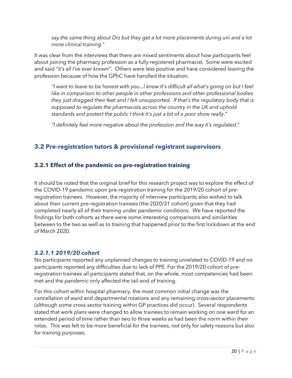*say the same thing about Drs but they get a lot more placements during uni and a lot more clinical training.*"

It was clear from the interviews that there are mixed sentiments about how participants feel about joining the pharmacy profession as a fully registered pharmacist. Some were excited and said "*it's all I've ever known"*. Others were less positive and have considered leaving the profession because of how the GPhC have handled the situation.

*"I want to leave to be honest with you...I know it's difficult all what's going on but I feel like in comparison to other people in other professions and other professional bodies they just dragged their feet and I felt unsupported. If that's the regulatory body that is supposed to regulate the pharmacists across the country in the UK and uphold standards and protect the public I think it's just a bit of a poor show really*."

*"I definitely feel more negative about the profession and the way it's regulated*."

# <span id="page-21-0"></span>**3.2 Pre-registration tutors & provisional registrant supervisors**

#### <span id="page-21-1"></span>**3.2.1 Effect of the pandemic on pre-registration training**

It should be noted that the original brief for this research project was to explore the effect of the COVID-19 pandemic upon pre-registration training for the 2019/20 cohort of preregistration trainees. However, the majority of interview participants also wished to talk about their current pre-registration trainees (the 2020/21 cohort) given that they had completed nearly all of their training under pandemic conditions. We have reported the findings for both cohorts as there were some interesting comparisons and similarities between to the two as well as to training that happened prior to the first lockdown at the end of March 2020.

#### *3.2.1.1 2019/20 cohort*

No participants reported any unplanned changes to training unrelated to COVID-19 and no participants reported any difficulties due to lack of PPE. For the 2019/20 cohort of preregistration trainees all participants stated that, on the whole, most competencies had been met and the pandemic only affected the tail-end of training.

For this cohort within hospital pharmacy, the most common initial change was the cancellation of ward and departmental rotations and any remaining cross-sector placements (although some cross-sector training within GP practices did occur). Several respondents stated that work plans were changed to allow trainees to remain working on one ward for an extended period of time rather than two to three weeks as had been the norm within their rotas. This was felt to be more beneficial for the trainees, not only for safety reasons but also for training purposes.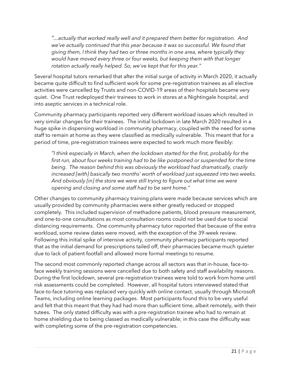*"...actually that worked really well and it prepared them better for registration. And we've actually continued that this year because it was so successful. We found that giving them, I think they had two or three months in one area, where typically they would have moved every three or four weeks, but keeping them with that longer rotation actually really helped. So, we've kept that for this year."*

Several hospital tutors remarked that after the initial surge of activity in March 2020, it actually became quite difficult to find sufficient work for some pre-registration trainees as all elective activities were cancelled by Trusts and non-COVID-19 areas of their hospitals became very quiet. One Trust redeployed their trainees to work in stores at a Nightingale hospital, and into aseptic services in a technical role.

Community pharmacy participants reported very different workload issues which resulted in very similar changes for their trainees. The initial lockdown in late March 2020 resulted in a huge spike in dispensing workload in community pharmacy, coupled with the need for some staff to remain at home as they were classified as medically vulnerable. This meant that for a period of time, pre-registration trainees were expected to work much more flexibly:

*"I think especially in March, when the lockdown started for the first, probably for the first run, about four weeks training had to be like postponed or suspended for the time being. The reason behind this was obviously the workload had dramatically, crazily increased [with] basically two months' worth of workload just squeezed into two weeks. And obviously [in] the store we were still trying to figure out what time we were opening and closing and some staff had to be sent home."*

Other changes to community pharmacy training plans were made because services which are usually provided by community pharmacies were either greatly reduced or stopped completely. This included supervision of methadone patients, blood pressure measurement, and one-to-one consultations as most consultation rooms could not be used due to social distancing requirements. One community pharmacy tutor reported that because of the extra workload, some review dates were moved, with the exception of the 39-week review. Following this initial spike of intensive activity, community pharmacy participants reported that as the initial demand for prescriptions tailed off, their pharmacies became much quieter due to lack of patient footfall and allowed more formal meetings to resume.

The second most commonly reported change across all sectors was that in-house, face-toface weekly training sessions were cancelled due to both safety and staff availability reasons. During the first lockdown, several pre-registration trainees were told to work from home until risk assessments could be completed. However, all hospital tutors interviewed stated that face-to-face tutoring was replaced very quickly with online contact, usually through Microsoft Teams, including online learning packages. Most participants found this to be very useful and felt that this meant that they had had more than sufficient time, albeit remotely, with their tutees. The only stated difficulty was with a pre-registration trainee who had to remain at home shielding due to being classed as medically vulnerable; in this case the difficulty was with completing some of the pre-registration competencies.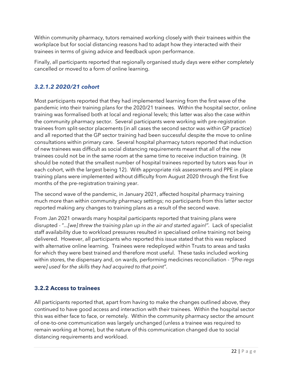Within community pharmacy, tutors remained working closely with their trainees within the workplace but for social distancing reasons had to adapt how they interacted with their trainees in terms of giving advice and feedback upon performance.

Finally, all participants reported that regionally organised study days were either completely cancelled or moved to a form of online learning.

## *3.2.1.2 2020/21 cohort*

Most participants reported that they had implemented learning from the first wave of the pandemic into their training plans for the 2020/21 trainees. Within the hospital sector, online training was formalised both at local and regional levels; this latter was also the case within the community pharmacy sector. Several participants were working with pre-registration trainees from split-sector placements (in all cases the second sector was within GP practice) and all reported that the GP sector training had been successful despite the move to online consultations within primary care. Several hospital pharmacy tutors reported that induction of new trainees was difficult as social distancing requirements meant that all of the new trainees could not be in the same room at the same time to receive induction training. (It should be noted that the smallest number of hospital trainees reported by tutors was four in each cohort, with the largest being 12). With appropriate risk assessments and PPE in place training plans were implemented without difficulty from August 2020 through the first five months of the pre-registration training year.

The second wave of the pandemic, in January 2021, affected hospital pharmacy training much more than within community pharmacy settings; no participants from this latter sector reported making any changes to training plans as a result of the second wave.

From Jan 2021 onwards many hospital participants reported that training plans were disrupted - "*...[we] threw the training plan up in the air and started again!".* Lack of specialist staff availability due to workload pressures resulted in specialised online training not being delivered. However, all participants who reported this issue stated that this was replaced with alternative online learning. Trainees were redeployed within Trusts to areas and tasks for which they were best trained and therefore most useful. These tasks included working within stores, the dispensary and, on wards, performing medicines reconciliation - *"[Pre-regs were] used for the skills they had acquired to that point"*.

## <span id="page-23-0"></span>**3.2.2 Access to trainees**

All participants reported that, apart from having to make the changes outlined above, they continued to have good access and interaction with their trainees. Within the hospital sector this was either face to face, or remotely. Within the community pharmacy sector the amount of one-to-one communication was largely unchanged (unless a trainee was required to remain working at home), but the nature of this communication changed due to social distancing requirements and workload.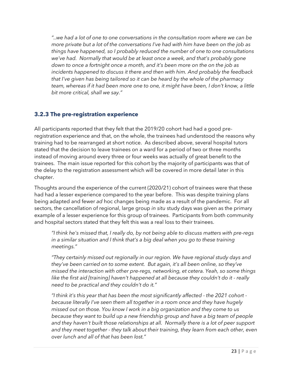*"..we had a lot of one to one conversations in the consultation room where we can be more private but a lot of the conversations I've had with him have been on the job as things have happened, so I probably reduced the number of one to one consultations we've had. Normally that would be at least once a week, and that's probably gone down to once a fortnight once a month, and it's been more on the on the job as incidents happened to discuss it there and then with him. And probably the feedback that I've given has being tailored so it can be heard by the whole of the pharmacy team, whereas if it had been more one to one, it might have been, I don't know, a little bit more critical, shall we say."*

#### <span id="page-24-0"></span>**3.2.3 The pre-registration experience**

All participants reported that they felt that the 2019/20 cohort had had a good preregistration experience and that, on the whole, the trainees had understood the reasons why training had to be rearranged at short notice. As described above, several hospital tutors stated that the decision to leave trainees on a ward for a period of two or three months instead of moving around every three or four weeks was actually of great benefit to the trainees. The main issue reported for this cohort by the majority of participants was that of the delay to the registration assessment which will be covered in more detail later in this chapter.

Thoughts around the experience of the current (2020/21) cohort of trainees were that these had had a lesser experience compared to the year before. This was despite training plans being adapted and fewer *ad* hoc changes being made as a result of the pandemic. For all sectors, the cancellation of regional, large group *in situ* study days was given as the primary example of a lesser experience for this group of trainees. Participants from both community and hospital sectors stated that they felt this was a real loss to their trainees.

*"I think he's missed that, I really do, by not being able to discuss matters with pre-regs in a similar situation and I think that's a big deal when you go to these training meetings."*

*"They certainly missed out regionally in our region. We have regional study days and they've been carried on to some extent. But again, it's all been online, so they've missed the interaction with other pre-regs, networking, et cetera. Yeah, so some things like the first aid [training] haven't happened at all because they couldn't do it - really need to be practical and they couldn't do it."*

*"I think it's this year that has been the most significantly affected - the 2021 cohort because literally I've seen them all together in a room once and they have hugely missed out on those. You know I work in a big organization and they come to us because they want to build up a new friendship group and have a big team of people and they haven't built those relationships at all. Normally there is a lot of peer support and they meet together - they talk about their training, they learn from each other, even over lunch and all of that has been lost."*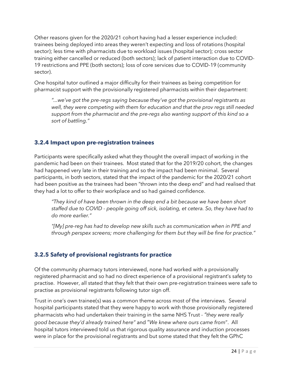Other reasons given for the 2020/21 cohort having had a lesser experience included: trainees being deployed into areas they weren't expecting and loss of rotations (hospital sector); less time with pharmacists due to workload issues (hospital sector); cross sector training either cancelled or reduced (both sectors); lack of patient interaction due to COVID-19 restrictions and PPE (both sectors); loss of core services due to COVID-19 (community sector).

One hospital tutor outlined a major difficulty for their trainees as being competition for pharmacist support with the provisionally registered pharmacists within their department:

*"...we've got the pre-regs saying because they've got the provisional registrants as well, they were competing with them for education and that the prov regs still needed support from the pharmacist and the pre-regs also wanting support of this kind so a sort of battling."*

#### <span id="page-25-0"></span>**3.2.4 Impact upon pre-registration trainees**

Participants were specifically asked what they thought the overall impact of working in the pandemic had been on their trainees. Most stated that for the 2019/20 cohort, the changes had happened very late in their training and so the impact had been minimal. Several participants, in both sectors, stated that the impact of the pandemic for the 2020/21 cohort had been positive as the trainees had been "thrown into the deep end" and had realised that they had a lot to offer to their workplace and so had gained confidence.

*"They kind of have been thrown in the deep end a bit because we have been short staffed due to COVID - people going off sick, isolating, et cetera. So, they have had to do more earlier."*

*"[My] pre-reg has had to develop new skills such as communication when in PPE and through perspex screens; more challenging for them but they will be fine for practice."*

## <span id="page-25-1"></span>**3.2.5 Safety of provisional registrants for practice**

Of the community pharmacy tutors interviewed, none had worked with a provisionally registered pharmacist and so had no direct experience of a provisional registrant's safety to practise. However, all stated that they felt that their own pre-registration trainees were safe to practise as provisional registrants following tutor sign off.

Trust in one's own trainee(s) was a common theme across most of the interviews. Several hospital participants stated that they were happy to work with those provisionally registered pharmacists who had undertaken their training in the same NHS Trust - *"they were really good because they'd already trained here"* and "*We knew where ours came from*". All hospital tutors interviewed told us that rigorous quality assurance and induction processes were in place for the provisional registrants and but some stated that they felt the GPhC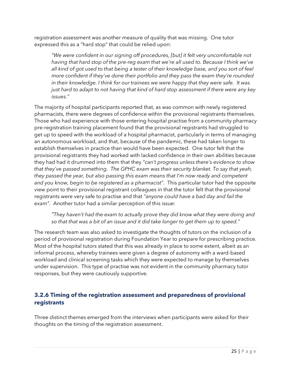registration assessment was another measure of quality that was missing. One tutor expressed this as a "hard stop" that could be relied upon:

*"We were confident in our signing off procedures, [but] it felt very uncomfortable not having that hard stop of the pre-reg exam that we're all used to. Because I think we've all kind of got used to that being a tester of their knowledge base, and you sort of feel more confident if they've done their portfolio and they pass the exam they're rounded in their knowledge. I think for our trainees we were happy that they were safe. It was just hard to adapt to not having that kind of hard stop assessment if there were any key issues."*

The majority of hospital participants reported that, as was common with newly registered pharmacists, there were degrees of confidence within the provisional registrants themselves. Those who had experience with those entering hospital practise from a community pharmacy pre-registration training placement found that the provisional registrants had struggled to get up to speed with the workload of a hospital pharmacist, particularly in terms of managing an autonomous workload, and that, because of the pandemic, these had taken longer to establish themselves in practice than would have been expected. One tutor felt that the provisional registrants they had worked with lacked confidence in their own abilities because they had had it drummed into them that they *"can't progress unless there's evidence to show that they've passed something. The GPHC exam was their security blanket. To say that yeah, they passed the year, but also passing this exam means that I'm now ready and competent and you know, begin to be registered as a pharmacist"*. This particular tutor had the opposite view point to their provisional registrant colleagues in that the tutor felt that the provisional registrants were very safe to practise and that *"anyone could have a bad day and fail the exam"*. Another tutor had a similar perception of this issue:

*"They haven't had the exam to actually prove they did know what they were doing and so that that was a bit of an issue and it did take longer to get them up to speed."*

The research team was also asked to investigate the thoughts of tutors on the inclusion of a period of provisional registration during Foundation Year to prepare for prescribing practice. Most of the hospital tutors stated that this was already in place to some extent, albeit as an informal process, whereby trainees were given a degree of autonomy with a ward-based workload and clinical screening tasks which they were expected to manage by themselves under supervision. This type of practise was not evident in the community pharmacy tutor responses, but they were cautiously supportive.

#### <span id="page-26-0"></span>**3.2.6 Timing of the registration assessment and preparedness of provisional registrants**

Three distinct themes emerged from the interviews when participants were asked for their thoughts on the timing of the registration assessment.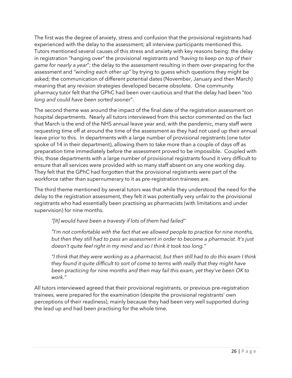The first was the degree of anxiety, stress and confusion that the provisional registrants had experienced with the delay to the assessment; all interview participants mentioned this. Tutors mentioned several causes of this stress and anxiety with key reasons being: the delay in registration "hanging over" the provisional registrants and *"having to keep on top of their game for nearly a year*"; the delay to the assessment resulting in them over-preparing for the assessment and *"winding each other up*" by trying to guess which questions they might be asked; the communication of different potential dates (November, January and then March) meaning that any revision strategies developed became obsolete. One community pharmacy tutor felt that the GPhC had been over-cautious and that the delay had been "*too long and could have been sorted sooner*".

The second theme was around the impact of the final date of the registration assessment on hospital departments. Nearly all tutors interviewed from this sector commented on the fact that March is the end of the NHS annual leave year and, with the pandemic, many staff were requesting time off at around the time of the assessment as they had not used up their annual leave prior to this. In departments with a large number of provisional registrants (one tutor spoke of 14 in their department), allowing them to take more than a couple of days off as preparation time immediately before the assessment proved to be impossible. Coupled with this, those departments with a large number of provisional registrants found it very difficult to ensure that all services were provided with so many staff absent on any one working day. They felt that the GPhC had forgotten that the provisional registrants were part of the workforce rather than supernumerary to it as pre-registration trainees are.

The third theme mentioned by several tutors was that while they understood the need for the delay to the registration assessment, they felt it was potentially very unfair to the provisional registrants who had essentially been practising as pharmacists (with limitations and under supervision) for nine months.

*"[It] would have been a travesty if lots of them had failed"*

*"I'm not comfortable with the fact that we allowed people to practice for nine months, but then they still had to pass an assessment in order to become a pharmacist. It's just doesn't quite feel right in my mind and so I think it took too long."*

*"I think that they were working as a pharmacist, but then still had to do this exam I think they found it quite difficult to sort of come to terms with really that they might have been practicing for nine months and then may fail this exam, yet they've been OK to work."*

All tutors interviewed agreed that their provisional registrants, or previous pre-registration trainees, were prepared for the examination (despite the provisional registrants' own perceptions of their readiness), mainly because they had been very well supported during the lead up and had been practising for the whole time.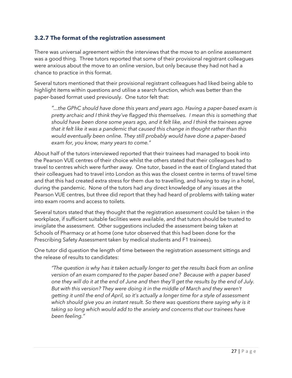#### <span id="page-28-0"></span>**3.2.7 The format of the registration assessment**

There was universal agreement within the interviews that the move to an online assessment was a good thing. Three tutors reported that some of their provisional registrant colleagues were anxious about the move to an online version, but only because they had not had a chance to practice in this format.

Several tutors mentioned that their provisional registrant colleagues had liked being able to highlight items within questions and utilise a search function, which was better than the paper-based format used previously. One tutor felt that:

*"...the GPhC should have done this years and years ago. Having a paper-based exam is pretty archaic and I think they've flagged this themselves. I mean this is something that should have been done some years ago, and it felt like, and I think the trainees agree that it felt like it was a pandemic that caused this change in thought rather than this would eventually been online. They still probably would have done a paper-based exam for, you know, many years to come."*

About half of the tutors interviewed reported that their trainees had managed to book into the Pearson VUE centres of their choice whilst the others stated that their colleagues had to travel to centres which were further away. One tutor, based in the east of England stated that their colleagues had to travel into London as this was the closest centre in terms of travel time and that this had created extra stress for them due to travelling, and having to stay in a hotel, during the pandemic. None of the tutors had any direct knowledge of any issues at the Pearson VUE centres, but three did report that they had heard of problems with taking water into exam rooms and access to toilets.

Several tutors stated that they thought that the registration assessment could be taken in the workplace, if sufficient suitable facilities were available, and that tutors should be trusted to invigilate the assessment. Other suggestions included the assessment being taken at Schools of Pharmacy or at home (one tutor observed that this had been done for the Prescribing Safety Assessment taken by medical students and F1 trainees).

One tutor did question the length of time between the registration assessment sittings and the release of results to candidates:

*"The question is why has it taken actually longer to get the results back from an online version of an exam compared to the paper based one? Because with a paper based one they will do it at the end of June and then they'll get the results by the end of July. But with this version? They were doing it in the middle of March and they weren't getting it until the end of April, so it's actually a longer time for a style of assessment which should give you an instant result. So there was questions there saying why is it taking so long which would add to the anxiety and concerns that our trainees have been feeling."*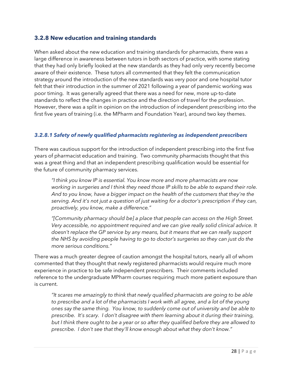#### <span id="page-29-0"></span>**3.2.8 New education and training standards**

When asked about the new education and training standards for pharmacists, there was a large difference in awareness between tutors in both sectors of practice, with some stating that they had only briefly looked at the new standards as they had only very recently become aware of their existence. These tutors all commented that they felt the communication strategy around the introduction of the new standards was very poor and one hospital tutor felt that their introduction in the summer of 2021 following a year of pandemic working was poor timing. It was generally agreed that there was a need for new, more up-to-date standards to reflect the changes in practice and the direction of travel for the profession. However, there was a split in opinion on the introduction of independent prescribing into the first five years of training (i.e. the MPharm and Foundation Year), around two key themes.

#### *3.2.8.1 Safety of newly qualified pharmacists registering as independent prescribers*

There was cautious support for the introduction of independent prescribing into the first five years of pharmacist education and training. Two community pharmacists thought that this was a great thing and that an independent prescribing qualification would be essential for the future of community pharmacy services.

*"I think you know IP is essential. You know more and more pharmacists are now working in surgeries and I think they need those IP skills to be able to expand their role. And to you know, have a bigger impact on the health of the customers that they're the serving. And it's not just a question of just waiting for a doctor's prescription if they can, proactively, you know, make a difference."*

*"[Community pharmacy should be] a place that people can access on the High Street. Very accessible, no appointment required and we can give really solid clinical advice. It doesn't replace the GP service by any means, but it means that we can really support the NHS by avoiding people having to go to doctor's surgeries so they can just do the more serious conditions."*

There was a much greater degree of caution amongst the hospital tutors, nearly all of whom commented that they thought that newly registered pharmacists would require much more experience in practice to be safe independent prescribers. Their comments included reference to the undergraduate MPharm courses requiring much more patient exposure than is current.

*"It scares me amazingly to think that newly qualified pharmacists are going to be able*  to prescribe and a lot of the pharmacists I work with all agree, and a lot of the young *ones say the same thing. You know, to suddenly come out of university and be able to prescribe. It's scary. I don't disagree with them learning about it during their training, but I think there ought to be a year or so after they qualified before they are allowed to prescribe. I don't see that they'll know enough about what they don't know."*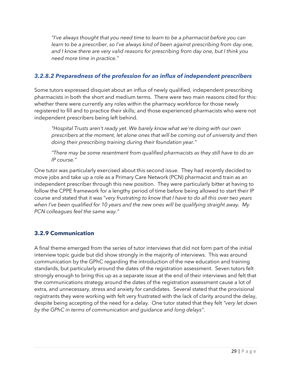*"I've always thought that you need time to learn to be a pharmacist before you can*  learn to be a prescriber, so I've always kind of been against prescribing from day one, *and I know there are very valid reasons for prescribing from day one, but I think you need more time in practice."*

#### *3.2.8.2 Preparedness of the profession for an influx of independent prescribers*

Some tutors expressed disquiet about an influx of newly qualified, independent prescribing pharmacists in both the short and medium terms. There were two main reasons cited for this: whether there were currently any roles within the pharmacy workforce for those newly registered to fill and to practice their skills; and those experienced pharmacists who were not independent prescribers being left behind.

*"Hospital Trusts aren't ready yet. We barely know what we're doing with our own prescribers at the moment, let alone ones that will be coming out of university and then doing their prescribing training during their foundation year."*

*"There may be some resentment from qualified pharmacists as they still have to do an IP course."*

One tutor was particularly exercised about this second issue. They had recently decided to move jobs and take up a role as a Primary Care Network (PCN) pharmacist and train as an independent prescriber through this new position. They were particularly bitter at having to follow the CPPE framework for a lengthy period of time before being allowed to start their IP course and stated that it was "*very frustrating to know that I have to do all this over two years when I've been qualified for 10 years and the new ones will be qualifying straight away. My PCN colleagues feel the same way."*

## <span id="page-30-0"></span>**3.2.9 Communication**

A final theme emerged from the series of tutor interviews that did not form part of the initial interview topic guide but did show strongly in the majority of interviews. This was around communication by the GPhC regarding the introduction of the new education and training standards, but particularly around the dates of the registration assessment. Seven tutors felt strongly enough to bring this up as a separate issue at the end of their interviews and felt that the communications strategy around the dates of the registration assessment cause a lot of extra, and unnecessary, stress and anxiety for candidates. Several stated that the provisional registrants they were working with felt very frustrated with the lack of clarity around the delay, despite being accepting of the need for a delay. One tutor stated that they felt *"very let down by the GPhC in terms of communication and guidance and long delays"*.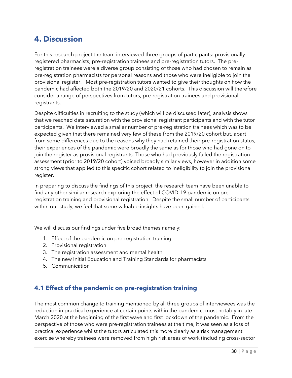# <span id="page-31-0"></span>**4. Discussion**

For this research project the team interviewed three groups of participants: provisionally registered pharmacists, pre-registration trainees and pre-registration tutors. The preregistration trainees were a diverse group consisting of those who had chosen to remain as pre-registration pharmacists for personal reasons and those who were ineligible to join the provisional register. Most pre-registration tutors wanted to give their thoughts on how the pandemic had affected both the 2019/20 and 2020/21 cohorts. This discussion will therefore consider a range of perspectives from tutors, pre-registration trainees and provisional registrants.

Despite difficulties in recruiting to the study (which will be discussed later), analysis shows that we reached data saturation with the provisional registrant participants and with the tutor participants. We interviewed a smaller number of pre-registration trainees which was to be expected given that there remained very few of these from the 2019/20 cohort but, apart from some differences due to the reasons why they had retained their pre-registration status, their experiences of the pandemic were broadly the same as for those who had gone on to join the register as provisional registrants. Those who had previously failed the registration assessment (prior to 2019/20 cohort) voiced broadly similar views, however in addition some strong views that applied to this specific cohort related to ineligibility to join the provisional register.

In preparing to discuss the findings of this project, the research team have been unable to find any other similar research exploring the effect of COVID-19 pandemic on preregistration training and provisional registration. Despite the small number of participants within our study, we feel that some valuable insights have been gained.

We will discuss our findings under five broad themes namely:

- 1. Effect of the pandemic on pre-registration training
- 2. Provisional registration
- 3. The registration assessment and mental health
- 4. The new Initial Education and Training Standards for pharmacists
- 5. Communication

# <span id="page-31-1"></span>**4.1 Effect of the pandemic on pre-registration training**

The most common change to training mentioned by all three groups of interviewees was the reduction in practical experience at certain points within the pandemic, most notably in late March 2020 at the beginning of the first wave and first lockdown of the pandemic. From the perspective of those who were pre-registration trainees at the time, it was seen as a loss of practical experience whilst the tutors articulated this more clearly as a risk management exercise whereby trainees were removed from high risk areas of work (including cross-sector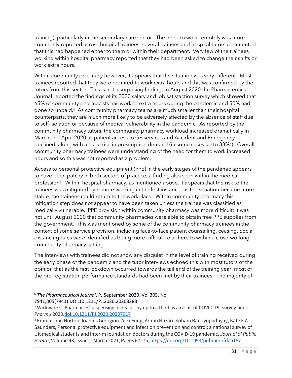training), particularly in the secondary care sector. The need to work remotely was more commonly reported across hospital trainees; several trainees and hospital tutors commented that this had happened either to them or within their department. Very few of the trainees working within hospital pharmacy reported that they had been asked to change their shifts or work extra hours.

Within community pharmacy however, it appears that the situation was very different. Most trainees reported that they were required to work extra hours and this was confirmed by the tutors from this sector. This is not a surprising finding; in August 2020 the Pharmaceutical Journal reported the findings of its 2020 salary and job satisfaction survey which showed that 65% of community pharmacists has worked extra hours during the pandemic and 50% had done so unpaid.<sup>6</sup> As community pharmacy teams are much smaller than their hospital counterparts, they are much more likely to be adversely affected by the absence of staff due to self-isolation or because of medical vulnerability in the pandemic. As reported by the community pharmacy tutors, the community pharmacy workload increased dramatically in March and April 2020 as patient access to GP services and Accident and Emergency declined, along with a huge rise in prescription demand (in some cases up to 33%<sup>7</sup> ). Overall community pharmacy trainees were understanding of the need for them to work increased hours and so this was not reported as a problem.

Access to personal protective equipment (PPE) in the early stages of the pandemic appears to have been patchy in both sectors of practice, a finding also seen within the medical profession<sup>8</sup>. Within hospital pharmacy, as mentioned above, it appears that the risk to the trainees was mitigated by remote working in the first instance; as the situation became more stable, the trainees could return to the workplace. Within community pharmacy this mitigation step does not appear to have been taken unless the trainee was classified as medically vulnerable. PPE provision within community pharmacy was more difficult; it was not until August 2020 that community pharmacies were able to obtain free PPE supplies from the government. This was mentioned by some of the community pharmacy trainees in the context of some service provision, including face-to-face patient counselling, ceasing. Social distancing rules were identified as being more difficult to adhere to within a close-working community pharmacy setting.

The interviews with trainees did not show any disquiet in the level of training received during the early phase of the pandemic and the tutor interviews echoed this with most tutors of the opinion that as the first lockdown occurred towards the tail end of the training year, most of the pre-registration performance standards had been met by their trainees. The majority of

<sup>6</sup> *The Pharmaceutical Journal*, PJ September 2020, Vol 305, No

7941;305(7941):DOI:10.1211/PJ.2020.20208288

<sup>7</sup> Wickware C. Pharmacies' dispensing increases by up to a third as a result of COVID-19, survey finds. *Pharm J* 2020[.doi:10.1211/PJ.2020.20207917](http://dx.doi.org/10.1211/PJ.2020.20207917)

<sup>8</sup> Emma Jane Norton, Ioannis Georgiou, Alex Fung, Armin Nazari, Soham Bandyopadhyay, Kate E A Saunders, Personal protective equipment and infection prevention and control: a national survey of UK medical students and interim foundation doctors during the COVID-19 pandemic, *Journal of Public Health*, Volume 43, Issue 1, March 2021, Pages 67–75[, https://doi.org/10.1093/pubmed/fdaa187](https://doi.org/10.1093/pubmed/fdaa187)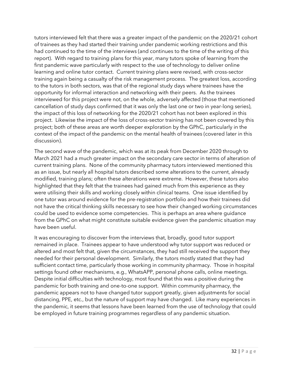tutors interviewed felt that there was a greater impact of the pandemic on the 2020/21 cohort of trainees as they had started their training under pandemic working restrictions and this had continued to the time of the interviews (and continues to the time of the writing of this report). With regard to training plans for this year, many tutors spoke of learning from the first pandemic wave particularly with respect to the use of technology to deliver online learning and online tutor contact. Current training plans were revised, with cross-sector training again being a casualty of the risk management process. The greatest loss, according to the tutors in both sectors, was that of the regional study days where trainees have the opportunity for informal interaction and networking with their peers. As the trainees interviewed for this project were not, on the whole, adversely affected (those that mentioned cancellation of study days confirmed that it was only the last one or two in year-long series), the impact of this loss of networking for the 2020/21 cohort has not been explored in this project. Likewise the impact of the loss of cross-sector training has not been covered by this project; both of these areas are worth deeper exploration by the GPhC, particularly in the context of the impact of the pandemic on the mental health of trainees (covered later in this discussion).

The second wave of the pandemic, which was at its peak from December 2020 through to March 2021 had a much greater impact on the secondary care sector in terms of alteration of current training plans. None of the community pharmacy tutors interviewed mentioned this as an issue, but nearly all hospital tutors described some alterations to the current, already modified, training plans; often these alterations were extreme. However, these tutors also highlighted that they felt that the trainees had gained much from this experience as they were utilising their skills and working closely within clinical teams. One issue identified by one tutor was around evidence for the pre-registration portfolio and how their trainees did not have the critical thinking skills necessary to see how their changed working circumstances could be used to evidence some competencies. This is perhaps an area where guidance from the GPhC on what might constitute suitable evidence given the pandemic situation may have been useful.

It was encouraging to discover from the interviews that, broadly, good tutor support remained in place. Trainees appear to have understood why tutor support was reduced or altered and most felt that, given the circumstances, they had still received the support they needed for their personal development. Similarly, the tutors mostly stated that they had sufficient contact time, particularly those working in community pharmacy. Those in hospital settings found other mechanisms, e.g., WhatsAPP, personal phone calls, online meetings. Despite initial difficulties with technology, most found that this was a positive during the pandemic for both training and one-to-one support. Within community pharmacy, the pandemic appears not to have changed tutor support greatly, given adjustments for social distancing, PPE, etc., but the nature of support may have changed. Like many experiences in the pandemic, it seems that lessons have been learned from the use of technology that could be employed in future training programmes regardless of any pandemic situation.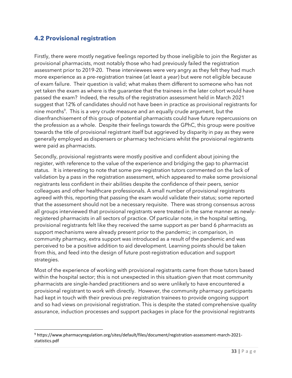#### <span id="page-34-0"></span>**4.2 Provisional registration**

Firstly, there were mostly negative feelings reported by those ineligible to join the Register as provisional pharmacists, most notably those who had previously failed the registration assessment prior to 2019-20. These interviewees were very angry as they felt they had much more experience as a pre-registration trainee (at least a year) but were not eligible because of exam failure. Their question is valid; what makes them different to someone who has not yet taken the exam as where is the guarantee that the trainees in the later cohort would have passed the exam? Indeed, the results of the registration assessment held in March 2021 suggest that 12% of candidates should not have been in practice as provisional registrants for nine months<sup>9</sup>. This is a very crude measure and an equally crude argument, but the disenfranchisement of this group of potential pharmacists could have future repercussions on the profession as a whole. Despite their feelings towards the GPhC, this group were positive towards the title of provisional registrant itself but aggrieved by disparity in pay as they were generally employed as dispensers or pharmacy technicians whilst the provisional registrants were paid as pharmacists.

Secondly, provisional registrants were mostly positive and confident about joining the register, with reference to the value of the experience and bridging the gap to pharmacist status. It is interesting to note that some pre-registration tutors commented on the lack of validation by a pass in the registration assessment, which appeared to make some provisional registrants less confident in their abilities despite the confidence of their peers, senior colleagues and other healthcare professionals. A small number of provisional registrants agreed with this, reporting that passing the exam would validate their status; some reported that the assessment should not be a necessary requisite. There was strong consensus across all groups interviewed that provisional registrants were treated in the same manner as newlyregistered pharmacists in all sectors of practice. Of particular note, in the hospital setting, provisional registrants felt like they received the same support as per band 6 pharmacists as support mechanisms were already present prior to the pandemic; in comparison, in community pharmacy, extra support was introduced as a result of the pandemic and was perceived to be a positive addition to aid development. Learning points should be taken from this, and feed into the design of future post-registration education and support strategies.

Most of the experience of working with provisional registrants came from those tutors based within the hospital sector; this is not unexpected in this situation given that most community pharmacists are single-handed practitioners and so were unlikely to have encountered a provisional registrant to work with directly. However, the community pharmacy participants had kept in touch with their previous pre-registration trainees to provide ongoing support and so had views on provisional registration. This is despite the stated comprehensive quality assurance, induction processes and support packages in place for the provisional registrants

<sup>9</sup> https://www.pharmacyregulation.org/sites/default/files/document/registration-assessment-march-2021 statistics.pdf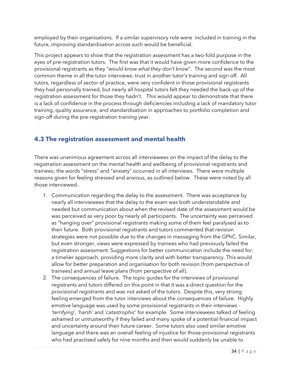employed by their organisations. If a similar supervisory role were included in training in the future, improving standardisation across such would be beneficial.

This project appears to show that the registration assessment has a two-fold purpose in the eyes of pre-registration tutors. The first was that it would have given more confidence to the provisional registrants as they "*would know what they don't know*". The second was the most common theme in all the tutor interviews: trust in another tutor's training and sign off. All tutors, regardless of sector of practice, were very confident in those provisional registrants they had personally trained, but nearly all hospital tutors felt they needed the back-up of the registration assessment for those they hadn't. This would appear to demonstrate that there is a lack of confidence in the process through deficiencies including a lack of mandatory tutor training, quality assurance, and standardisation in approaches to portfolio completion and sign-off during the pre-registration training year.

# <span id="page-35-0"></span>**4.3 The registration assessment and mental health**

There was unanimous agreement across all interviewees on the impact of the delay to the registration assessment on the mental health and wellbeing of provisional registrants and trainees; the words "stress" and "anxiety" occurred in all interviews. There were multiple reasons given for feeling stressed and anxious, as outlined below. These were noted by all those interviewed.

- 1. Communication regarding the delay to the assessment. There was acceptance by nearly all interviewees that the delay to the exam was both understandable and needed but communication about when the revised date of the assessment would be was perceived as very poor by nearly all participants. The uncertainty was perceived as "hanging over" provisional registrants making some of them feel paralysed as to their future. Both provisional registrants and tutors commented that revision strategies were not possible due to the changes in messaging from the GPhC. Similar, but even stronger, views were expressed by trainees who had previously failed the registration assessment. Suggestions for better communication include the need for: a timelier approach, providing more clarity and with better transparency. This would allow for better preparation and organisation for both revision (from perspective of trainees) and annual leave plans (from perspective of all).
- 2. The consequences of failure. The topic guides for the interviews of provisional registrants and tutors differed on this point in that it was a direct question for the provisional registrants and was not asked of the tutors. Despite this, very strong feeling emerged from the tutor interviews about the consequences of failure. Highly emotive language was used by some provisional registrants in their interviews - '*terrifying*', '*harsh*' and '*catastrophic*' for example. Some interviewees talked of feeling ashamed or untrustworthy if they failed and many spoke of a potential financial impact and uncertainty around their future career. Some tutors also used similar emotive language and there was an overall feeling of injustice for those provisional registrants who had practised safely for nine months and then would suddenly be unable to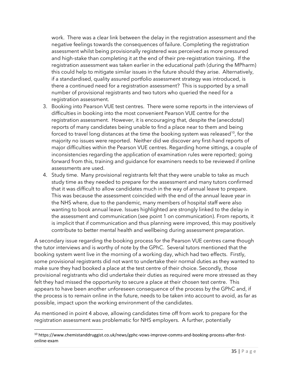work. There was a clear link between the delay in the registration assessment and the negative feelings towards the consequences of failure. Completing the registration assessment whilst being provisionally registered was perceived as more pressured and high-stake than completing it at the end of their pre-registration training. If the registration assessment was taken earlier in the educational path (during the MPharm) this could help to mitigate similar issues in the future should they arise. Alternatively, if a standardised, quality assured portfolio assessment strategy was introduced, is there a continued need for a registration assessment? This is supported by a small number of provisional registrants and two tutors who queried the need for a registration assessment.

- 3. Booking into Pearson VUE test centres. There were some reports in the interviews of difficulties in booking into the most convenient Pearson VUE centre for the registration assessment. However, it is encouraging that, despite the (anecdotal) reports of many candidates being unable to find a place near to them and being forced to travel long distances at the time the booking system was released $^{10}$ , for the majority no issues were reported. Neither did we discover any first-hand reports of major difficulties within the Pearson VUE centres. Regarding home sittings, a couple of inconsistencies regarding the application of examination rules were reported; going forward from this, training and guidance for examiners needs to be reviewed if online assessments are used.
- 4. Study time. Many provisional registrants felt that they were unable to take as much study time as they needed to prepare for the assessment and many tutors confirmed that it was difficult to allow candidates much in the way of annual leave to prepare. This was because the assessment coincided with the end of the annual leave year in the NHS where, due to the pandemic, many members of hospital staff were also wanting to book annual leave. Issues highlighted are strongly linked to the delay in the assessment and communication (see point 1 on communication). From reports, it is implicit that if communication and thus planning were improved, this may positively contribute to better mental health and wellbeing during assessment preparation.

A secondary issue regarding the booking process for the Pearson VUE centres came though the tutor interviews and is worthy of note by the GPhC. Several tutors mentioned that the booking system went live in the morning of a working day, which had two effects. Firstly, some provisional registrants did not want to undertake their normal duties as they wanted to make sure they had booked a place at the test centre of their choice. Secondly, those provisional registrants who did undertake their duties as required were more stressed as they felt they had missed the opportunity to secure a place at their chosen test centre. This appears to have been another unforeseen consequence of the process by the GPhC and, if the process is to remain online in the future, needs to be taken into account to avoid, as far as possible, impact upon the working environment of the candidates.

As mentioned in point 4 above, allowing candidates time off from work to prepare for the registration assessment was problematic for NHS employers. A further, potentially

<sup>&</sup>lt;sup>10</sup> https://www.chemistanddruggist.co.uk/news/gphc-vows-improve-comms-and-booking-process-after-firstonline-exam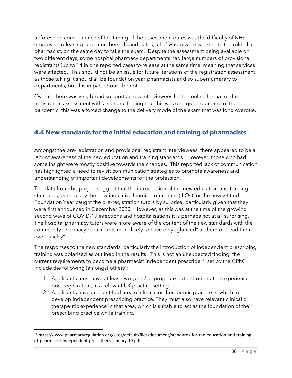unforeseen, consequence of the timing of the assessment dates was the difficulty of NHS employers releasing large numbers of candidates, all of whom were working in the role of a pharmacist, on the same day to take the exam. Despite the assessment being available on two different days, some hospital pharmacy departments had large numbers of provisional registrants (up to 14 in one reported case) to release at the same time, meaning that services were affected. This should not be an issue for future iterations of the registration assessment as those taking it should all be foundation year pharmacists and so supernumerary to departments, but this impact should be noted.

Overall, there was very broad support across interviewees for the online format of the registration assessment with a general feeling that this was one good outcome of the pandemic; this was a forced change to the delivery mode of the exam that was long overdue.

# <span id="page-37-0"></span>**4.4 New standards for the initial education and training of pharmacists**

Amongst the pre-registration and provisional registrant interviewees, there appeared to be a lack of awareness of the new education and training standards. However, those who had some insight were mostly positive towards the changes. This reported lack of communication has highlighted a need to revisit communication strategies to promote awareness and understanding of important developments for the profession.

The data from this project suggest that the introduction of the new education and training standards, particularly the new indicative learning outcomes (ILOs) for the newly-titled Foundation Year caught the pre-registration tutors by surprise, particularly given that they were first announced in December 2020. However, as this was at the time of the growing second wave of COVID-19 infections and hospitalisations it is perhaps not at all surprising. The hospital pharmacy tutors were more aware of the content of the new standards with the community pharmacy participants more likely to have only "glanced" at them or "read them over quickly".

The responses to the new standards, particularly the introduction of independent prescribing training was polarised as outlined in the results. This is not an unexpected finding; the current requirements to become a pharmacist independent prescriber<sup>11</sup> set by the GPhC include the following (amongst others):

- 1. Applicants must have at least two years' appropriate patient-orientated experience post registration, in a relevant UK practice setting.
- 2. Applicants have an identified area of clinical or therapeutic practice in which to develop independent prescribing practice. They must also have relevant clinical or therapeutic experience in that area, which is suitable to act as the foundation of their prescribing practice while training.

<sup>11</sup> https://www.pharmacyregulation.org/sites/default/files/document/standards-for-the-education-and-trainingof-pharmacist-independent-prescribers-january-19.pdf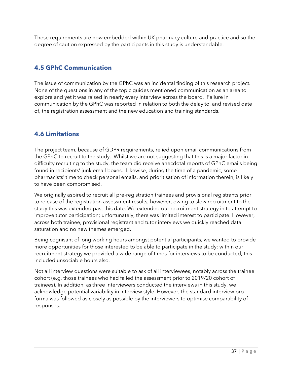These requirements are now embedded within UK pharmacy culture and practice and so the degree of caution expressed by the participants in this study is understandable.

## <span id="page-38-0"></span>**4.5 GPhC Communication**

The issue of communication by the GPhC was an incidental finding of this research project. None of the questions in any of the topic guides mentioned communication as an area to explore and yet it was raised in nearly every interview across the board. Failure in communication by the GPhC was reported in relation to both the delay to, and revised date of, the registration assessment and the new education and training standards.

## <span id="page-38-1"></span>**4.6 Limitations**

The project team, because of GDPR requirements, relied upon email communications from the GPhC to recruit to the study. Whilst we are not suggesting that this is a major factor in difficulty recruiting to the study, the team did receive anecdotal reports of GPhC emails being found in recipients' junk email boxes. Likewise, during the time of a pandemic, some pharmacists' time to check personal emails, and prioritisation of information therein, is likely to have been compromised.

We originally aspired to recruit all pre-registration trainees and provisional registrants prior to release of the registration assessment results, however, owing to slow recruitment to the study this was extended past this date. We extended our recruitment strategy in to attempt to improve tutor participation; unfortunately, there was limited interest to participate. However, across both trainee, provisional registrant and tutor interviews we quickly reached data saturation and no new themes emerged.

Being cognisant of long working hours amongst potential participants, we wanted to provide more opportunities for those interested to be able to participate in the study; within our recruitment strategy we provided a wide range of times for interviews to be conducted, this included unsociable hours also.

Not all interview questions were suitable to ask of all interviewees, notably across the trainee cohort (e.g. those trainees who had failed the assessment prior to 2019/20 cohort of trainees). In addition, as three interviewers conducted the interviews in this study, we acknowledge potential variability in interview style. However, the standard interview proforma was followed as closely as possible by the interviewers to optimise comparability of responses.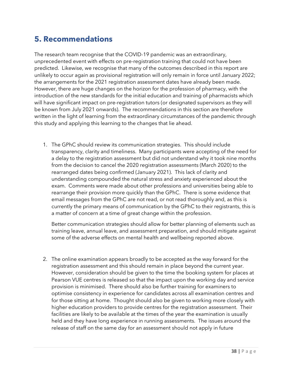# <span id="page-39-0"></span>**5. Recommendations**

The research team recognise that the COVID-19 pandemic was an extraordinary, unprecedented event with effects on pre-registration training that could not have been predicted. Likewise, we recognise that many of the outcomes described in this report are unlikely to occur again as provisional registration will only remain in force until January 2022; the arrangements for the 2021 registration assessment dates have already been made. However, there are huge changes on the horizon for the profession of pharmacy, with the introduction of the new standards for the initial education and training of pharmacists which will have significant impact on pre-registration tutors (or designated supervisors as they will be known from July 2021 onwards). The recommendations in this section are therefore written in the light of learning from the extraordinary circumstances of the pandemic through this study and applying this learning to the changes that lie ahead.

1. The GPhC should review its communication strategies. This should include transparency, clarity and timeliness. Many participants were accepting of the need for a delay to the registration assessment but did not understand why it took nine months from the decision to cancel the 2020 registration assessments (March 2020) to the rearranged dates being confirmed (January 2021). This lack of clarity and understanding compounded the natural stress and anxiety experienced about the exam. Comments were made about other professions and universities being able to rearrange their provision more quickly than the GPhC. There is some evidence that email messages from the GPhC are not read, or not read thoroughly and, as this is currently the primary means of communication by the GPhC to their registrants, this is a matter of concern at a time of great change within the profession.

Better communication strategies should allow for better planning of elements such as training leave, annual leave, and assessment preparation, and should mitigate against some of the adverse effects on mental health and wellbeing reported above.

2. The online examination appears broadly to be accepted as the way forward for the registration assessment and this should remain in place beyond the current year. However, consideration should be given to the time the booking system for places at Pearson VUE centres is released so that the impact upon the working day and service provision is minimised. There should also be further training for examiners to optimise consistency in experience for candidates across all examination centres and for those sitting at home. Thought should also be given to working more closely with higher education providers to provide centres for the registration assessment. Their facilities are likely to be available at the times of the year the examination is usually held and they have long experience in running assessments. The issues around the release of staff on the same day for an assessment should not apply in future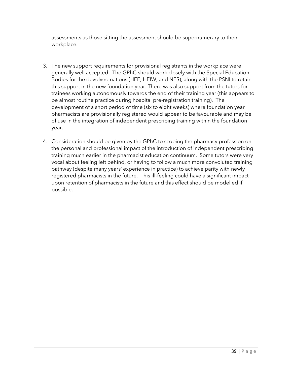assessments as those sitting the assessment should be supernumerary to their workplace.

- 3. The new support requirements for provisional registrants in the workplace were generally well accepted. The GPhC should work closely with the Special Education Bodies for the devolved nations (HEE, HEIW, and NES), along with the PSNI to retain this support in the new foundation year. There was also support from the tutors for trainees working autonomously towards the end of their training year (this appears to be almost routine practice during hospital pre-registration training). The development of a short period of time (six to eight weeks) where foundation year pharmacists are provisionally registered would appear to be favourable and may be of use in the integration of independent prescribing training within the foundation year.
- 4. Consideration should be given by the GPhC to scoping the pharmacy profession on the personal and professional impact of the introduction of independent prescribing training much earlier in the pharmacist education continuum. Some tutors were very vocal about feeling left behind, or having to follow a much more convoluted training pathway (despite many years' experience in practice) to achieve parity with newly registered pharmacists in the future. This ill-feeling could have a significant impact upon retention of pharmacists in the future and this effect should be modelled if possible.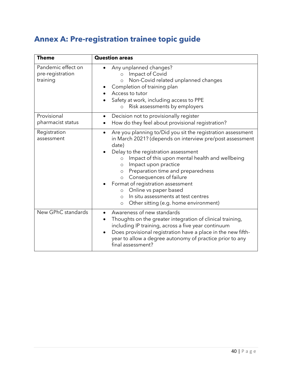# <span id="page-41-0"></span>**Annex A: Pre-registration trainee topic guide**

| <b>Theme</b>                                       | <b>Question areas</b>                                                                                                                                                                                                                                                                                                                                                                                                                                                                                                                          |
|----------------------------------------------------|------------------------------------------------------------------------------------------------------------------------------------------------------------------------------------------------------------------------------------------------------------------------------------------------------------------------------------------------------------------------------------------------------------------------------------------------------------------------------------------------------------------------------------------------|
| Pandemic effect on<br>pre-registration<br>training | Any unplanned changes?<br>Impact of Covid<br>$\circ$<br>Non-Covid related unplanned changes<br>$\circ$<br>Completion of training plan<br>Access to tutor<br>Safety at work, including access to PPE<br>Risk assessments by employers<br>$\circ$                                                                                                                                                                                                                                                                                                |
| Provisional<br>pharmacist status                   | Decision not to provisionally register<br>$\bullet$<br>How do they feel about provisional registration?                                                                                                                                                                                                                                                                                                                                                                                                                                        |
| Registration<br>assessment                         | Are you planning to/Did you sit the registration assessment<br>in March 2021? (depends on interview pre/post assessment<br>date)<br>Delay to the registration assessment<br>Impact of this upon mental health and wellbeing<br>$\circ$<br>Impact upon practice<br>$\circ$<br>Preparation time and preparedness<br>$\circ$<br>Consequences of failure<br>$\circ$<br>Format of registration assessment<br>Online vs paper based<br>$\circ$<br>In situ assessments at test centres<br>$\circ$<br>Other sitting (e.g. home environment)<br>$\circ$ |
| New GPhC standards                                 | Awareness of new standards<br>$\bullet$<br>Thoughts on the greater integration of clinical training,<br>including IP training, across a five year continuum<br>Does provisional registration have a place in the new fifth-<br>year to allow a degree autonomy of practice prior to any<br>final assessment?                                                                                                                                                                                                                                   |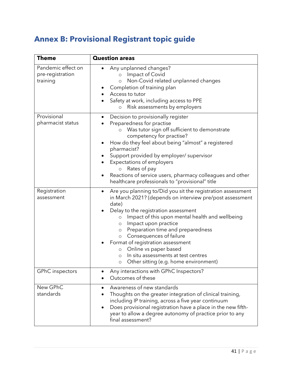# <span id="page-42-0"></span>**Annex B: Provisional Registrant topic guide**

| <b>Theme</b>                                       | <b>Question areas</b>                                                                                                                                                                                                                                                                                                                                                                                                                                                                                                                         |
|----------------------------------------------------|-----------------------------------------------------------------------------------------------------------------------------------------------------------------------------------------------------------------------------------------------------------------------------------------------------------------------------------------------------------------------------------------------------------------------------------------------------------------------------------------------------------------------------------------------|
| Pandemic effect on<br>pre-registration<br>training | Any unplanned changes?<br>Impact of Covid<br>$\circ$<br>Non-Covid related unplanned changes<br>$\circ$<br>Completion of training plan<br>Access to tutor<br>Safety at work, including access to PPE<br>Risk assessments by employers<br>$\circ$                                                                                                                                                                                                                                                                                               |
| Provisional<br>pharmacist status                   | Decision to provisionally register<br>Preparedness for practise<br>Was tutor sign off sufficient to demonstrate<br>$\circ$<br>competency for practise?<br>How do they feel about being "almost" a registered<br>pharmacist?<br>Support provided by employer/ supervisor<br>Expectations of employers<br>Rates of pay<br>$\circ$<br>Reactions of service users, pharmacy colleagues and other<br>٠<br>healthcare professionals to "provisional" title                                                                                          |
| Registration<br>assessment                         | Are you planning to/Did you sit the registration assessment<br>٠<br>in March 2021? (depends on interview pre/post assessment<br>date)<br>Delay to the registration assessment<br>Impact of this upon mental health and wellbeing<br>$\circ$<br>Impact upon practice<br>$\circ$<br>Preparation time and preparedness<br>$\circ$<br>Consequences of failure<br>$\circ$<br>Format of registration assessment<br>Online vs paper based<br>$\circ$<br>In situ assessments at test centres<br>$\circ$<br>Other sitting (e.g. home environment)<br>O |
| <b>GPhC</b> inspectors                             | Any interactions with GPhC Inspectors?<br>Outcomes of these                                                                                                                                                                                                                                                                                                                                                                                                                                                                                   |
| New GPhC<br>standards                              | Awareness of new standards<br>$\bullet$<br>Thoughts on the greater integration of clinical training,<br>including IP training, across a five year continuum<br>Does provisional registration have a place in the new fifth-<br>year to allow a degree autonomy of practice prior to any<br>final assessment?                                                                                                                                                                                                                                  |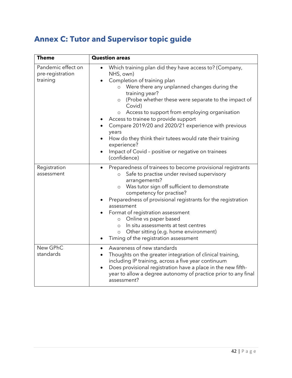# <span id="page-43-0"></span>**Annex C: Tutor and Supervisor topic guide**

| <b>Theme</b>                                       | <b>Question areas</b>                                                                                                                                                                                                                                                                                                                                                                                                                                                                                                                                                              |
|----------------------------------------------------|------------------------------------------------------------------------------------------------------------------------------------------------------------------------------------------------------------------------------------------------------------------------------------------------------------------------------------------------------------------------------------------------------------------------------------------------------------------------------------------------------------------------------------------------------------------------------------|
| Pandemic effect on<br>pre-registration<br>training | Which training plan did they have access to? (Company,<br>$\bullet$<br>NHS, own)<br>Completion of training plan<br>Were there any unplanned changes during the<br>training year?<br>(Probe whether these were separate to the impact of<br>$\circ$<br>Covid)<br>Access to support from employing organisation<br>$\circ$<br>Access to trainee to provide support<br>Compare 2019/20 and 2020/21 experience with previous<br>years<br>How do they think their tutees would rate their training<br>experience?<br>Impact of Covid - positive or negative on trainees<br>(confidence) |
| Registration<br>assessment                         | Preparedness of trainees to become provisional registrants<br>Safe to practise under revised supervisory<br>$\circ$<br>arrangements?<br>Was tutor sign off sufficient to demonstrate<br>$\circ$<br>competency for practise?<br>Preparedness of provisional registrants for the registration<br>assessment<br>Format of registration assessment<br>Online vs paper based<br>$\circ$<br>In situ assessments at test centres<br>$\circ$<br>Other sitting (e.g. home environment)<br>$\circ$<br>Timing of the registration assessment                                                  |
| New GPhC<br>standards                              | Awareness of new standards<br>$\bullet$<br>Thoughts on the greater integration of clinical training,<br>including IP training, across a five year continuum<br>Does provisional registration have a place in the new fifth-<br>$\bullet$<br>year to allow a degree autonomy of practice prior to any final<br>assessment?                                                                                                                                                                                                                                                          |